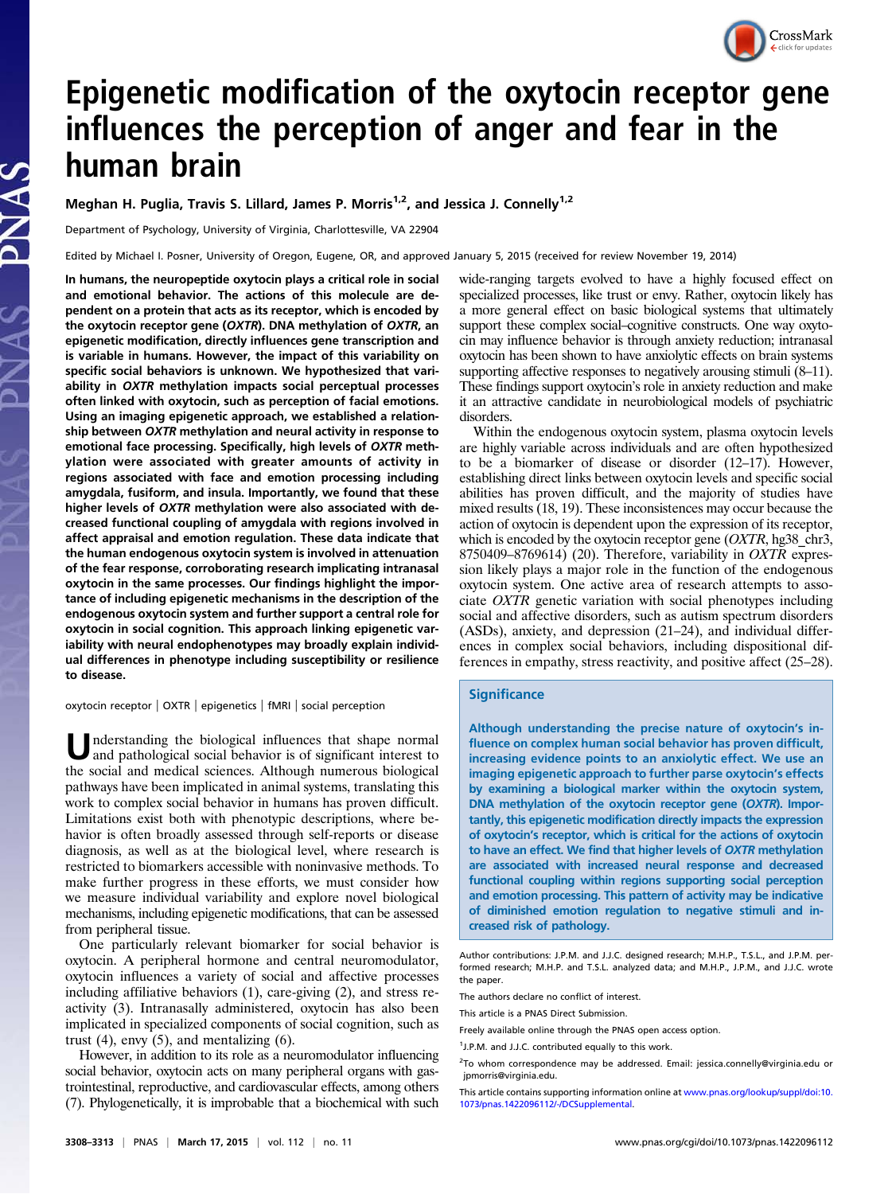# CrossMark

# Epigenetic modification of the oxytocin receptor gene influences the perception of anger and fear in the human brain

Meghan H. Puglia, Travis S. Lillard, James P. Morris<sup>1,2</sup>, and Jessica J. Connelly<sup>1,2</sup>

Department of Psychology, University of Virginia, Charlottesville, VA 22904

Edited by Michael I. Posner, University of Oregon, Eugene, OR, and approved January 5, 2015 (received for review November 19, 2014)

In humans, the neuropeptide oxytocin plays a critical role in social and emotional behavior. The actions of this molecule are dependent on a protein that acts as its receptor, which is encoded by the oxytocin receptor gene (OXTR). DNA methylation of OXTR, an epigenetic modification, directly influences gene transcription and is variable in humans. However, the impact of this variability on specific social behaviors is unknown. We hypothesized that variability in OXTR methylation impacts social perceptual processes often linked with oxytocin, such as perception of facial emotions. Using an imaging epigenetic approach, we established a relationship between OXTR methylation and neural activity in response to emotional face processing. Specifically, high levels of OXTR methylation were associated with greater amounts of activity in regions associated with face and emotion processing including amygdala, fusiform, and insula. Importantly, we found that these higher levels of OXTR methylation were also associated with decreased functional coupling of amygdala with regions involved in affect appraisal and emotion regulation. These data indicate that the human endogenous oxytocin system is involved in attenuation of the fear response, corroborating research implicating intranasal oxytocin in the same processes. Our findings highlight the importance of including epigenetic mechanisms in the description of the endogenous oxytocin system and further support a central role for oxytocin in social cognition. This approach linking epigenetic variability with neural endophenotypes may broadly explain individual differences in phenotype including susceptibility or resilience to disease.

oxytocin receptor | OXTR | epigenetics | fMRI | social perception

Understanding the biological influences that shape normal and pathological social behavior is of significant interest to the social and medical sciences. Although numerous biological pathways have been implicated in animal systems, translating this work to complex social behavior in humans has proven difficult. Limitations exist both with phenotypic descriptions, where behavior is often broadly assessed through self-reports or disease diagnosis, as well as at the biological level, where research is restricted to biomarkers accessible with noninvasive methods. To make further progress in these efforts, we must consider how we measure individual variability and explore novel biological mechanisms, including epigenetic modifications, that can be assessed from peripheral tissue.

One particularly relevant biomarker for social behavior is oxytocin. A peripheral hormone and central neuromodulator, oxytocin influences a variety of social and affective processes including affiliative behaviors (1), care-giving (2), and stress reactivity (3). Intranasally administered, oxytocin has also been implicated in specialized components of social cognition, such as trust  $(4)$ , envy  $(5)$ , and mentalizing  $(6)$ .

However, in addition to its role as a neuromodulator influencing social behavior, oxytocin acts on many peripheral organs with gastrointestinal, reproductive, and cardiovascular effects, among others (7). Phylogenetically, it is improbable that a biochemical with such wide-ranging targets evolved to have a highly focused effect on specialized processes, like trust or envy. Rather, oxytocin likely has a more general effect on basic biological systems that ultimately support these complex social–cognitive constructs. One way oxytocin may influence behavior is through anxiety reduction; intranasal oxytocin has been shown to have anxiolytic effects on brain systems supporting affective responses to negatively arousing stimuli (8–11). These findings support oxytocin's role in anxiety reduction and make it an attractive candidate in neurobiological models of psychiatric disorders.

Within the endogenous oxytocin system, plasma oxytocin levels are highly variable across individuals and are often hypothesized to be a biomarker of disease or disorder (12–17). However, establishing direct links between oxytocin levels and specific social abilities has proven difficult, and the majority of studies have mixed results (18, 19). These inconsistences may occur because the action of oxytocin is dependent upon the expression of its receptor, which is encoded by the oxytocin receptor gene  $(OXTR, hg38$  chr3, 8750409–8769614) (20). Therefore, variability in  $OXTR$  expression likely plays a major role in the function of the endogenous oxytocin system. One active area of research attempts to associate OXTR genetic variation with social phenotypes including social and affective disorders, such as autism spectrum disorders (ASDs), anxiety, and depression (21–24), and individual differences in complex social behaviors, including dispositional differences in empathy, stress reactivity, and positive affect (25–28).

#### **Significance**

Although understanding the precise nature of oxytocin's influence on complex human social behavior has proven difficult, increasing evidence points to an anxiolytic effect. We use an imaging epigenetic approach to further parse oxytocin's effects by examining a biological marker within the oxytocin system, DNA methylation of the oxytocin receptor gene (OXTR). Importantly, this epigenetic modification directly impacts the expression of oxytocin's receptor, which is critical for the actions of oxytocin to have an effect. We find that higher levels of OXTR methylation are associated with increased neural response and decreased functional coupling within regions supporting social perception and emotion processing. This pattern of activity may be indicative of diminished emotion regulation to negative stimuli and increased risk of pathology.

The authors declare no conflict of interest.

This article is a PNAS Direct Submission.

Freely available online through the PNAS open access option.

<sup>1</sup> J.P.M. and J.J.C. contributed equally to this work.

Author contributions: J.P.M. and J.J.C. designed research; M.H.P., T.S.L., and J.P.M. performed research; M.H.P. and T.S.L. analyzed data; and M.H.P., J.P.M., and J.J.C. wrote the paper.

<sup>&</sup>lt;sup>2</sup>To whom correspondence may be addressed. Email: [jessica.connelly@virginia.edu](mailto:jessica.connelly@virginia.edu) or [jpmorris@virginia.edu](mailto:jpmorris@virginia.edu).

This article contains supporting information online at [www.pnas.org/lookup/suppl/doi:10.](http://www.pnas.org/lookup/suppl/doi:10.1073/pnas.1422096112/-/DCSupplemental) [1073/pnas.1422096112/-/DCSupplemental.](http://www.pnas.org/lookup/suppl/doi:10.1073/pnas.1422096112/-/DCSupplemental)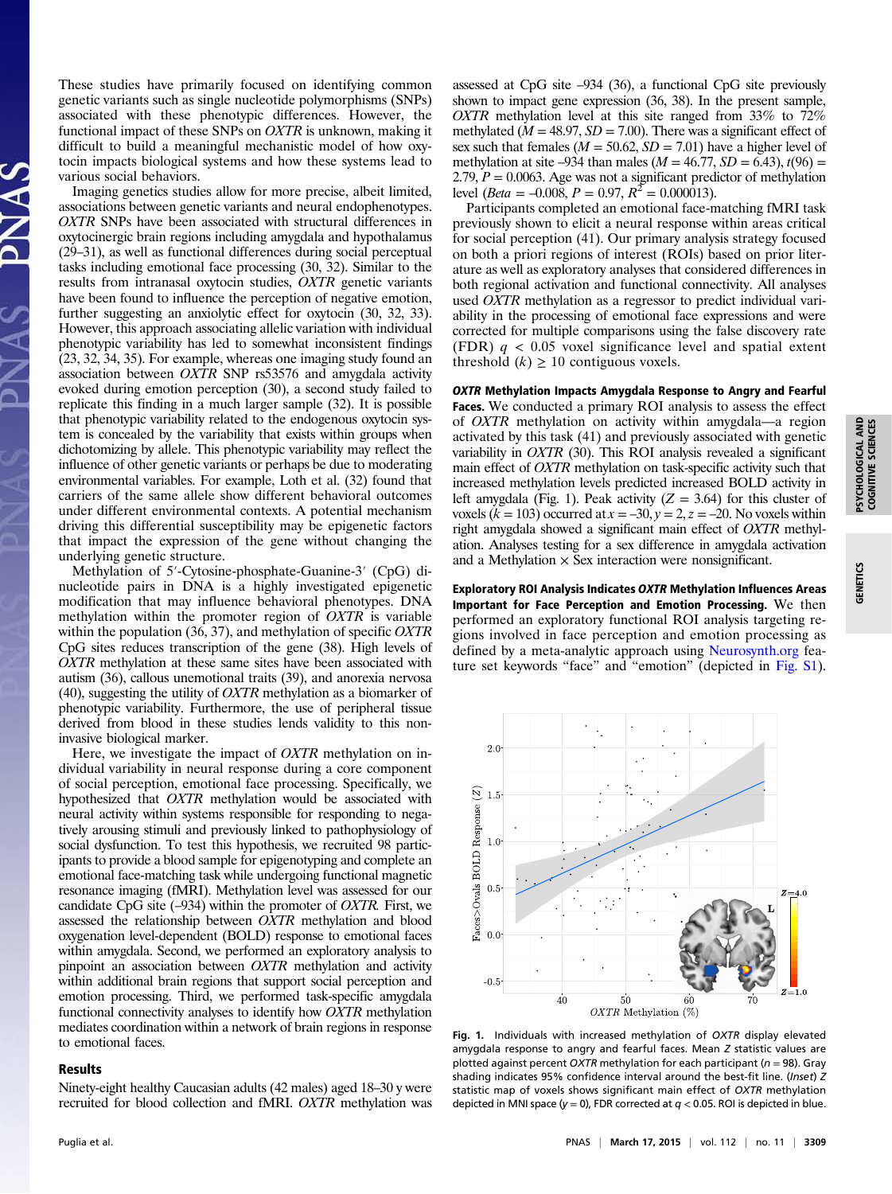These studies have primarily focused on identifying common genetic variants such as single nucleotide polymorphisms (SNPs) associated with these phenotypic differences. However, the functional impact of these SNPs on OXTR is unknown, making it difficult to build a meaningful mechanistic model of how oxytocin impacts biological systems and how these systems lead to various social behaviors.

Imaging genetics studies allow for more precise, albeit limited, associations between genetic variants and neural endophenotypes. OXTR SNPs have been associated with structural differences in oxytocinergic brain regions including amygdala and hypothalamus (29–31), as well as functional differences during social perceptual tasks including emotional face processing (30, 32). Similar to the results from intranasal oxytocin studies, OXTR genetic variants have been found to influence the perception of negative emotion, further suggesting an anxiolytic effect for oxytocin (30, 32, 33). However, this approach associating allelic variation with individual phenotypic variability has led to somewhat inconsistent findings (23, 32, 34, 35). For example, whereas one imaging study found an association between OXTR SNP rs53576 and amygdala activity evoked during emotion perception (30), a second study failed to replicate this finding in a much larger sample (32). It is possible that phenotypic variability related to the endogenous oxytocin system is concealed by the variability that exists within groups when dichotomizing by allele. This phenotypic variability may reflect the influence of other genetic variants or perhaps be due to moderating environmental variables. For example, Loth et al. (32) found that carriers of the same allele show different behavioral outcomes under different environmental contexts. A potential mechanism driving this differential susceptibility may be epigenetic factors that impact the expression of the gene without changing the underlying genetic structure.

Methylation of 5′-Cytosine-phosphate-Guanine-3′ (CpG) dinucleotide pairs in DNA is a highly investigated epigenetic modification that may influence behavioral phenotypes. DNA methylation within the promoter region of OXTR is variable within the population  $(36, 37)$ , and methylation of specific  $OXTR$ CpG sites reduces transcription of the gene (38). High levels of OXTR methylation at these same sites have been associated with autism (36), callous unemotional traits (39), and anorexia nervosa (40), suggesting the utility of OXTR methylation as a biomarker of phenotypic variability. Furthermore, the use of peripheral tissue derived from blood in these studies lends validity to this noninvasive biological marker.

Here, we investigate the impact of *OXTR* methylation on individual variability in neural response during a core component of social perception, emotional face processing. Specifically, we hypothesized that OXTR methylation would be associated with neural activity within systems responsible for responding to negatively arousing stimuli and previously linked to pathophysiology of social dysfunction. To test this hypothesis, we recruited 98 participants to provide a blood sample for epigenotyping and complete an emotional face-matching task while undergoing functional magnetic resonance imaging (fMRI). Methylation level was assessed for our candidate CpG site  $(-934)$  within the promoter of *OXTR*. First, we assessed the relationship between OXTR methylation and blood oxygenation level-dependent (BOLD) response to emotional faces within amygdala. Second, we performed an exploratory analysis to pinpoint an association between OXTR methylation and activity within additional brain regions that support social perception and emotion processing. Third, we performed task-specific amygdala functional connectivity analyses to identify how OXTR methylation mediates coordination within a network of brain regions in response to emotional faces.

### Results

Ninety-eight healthy Caucasian adults (42 males) aged 18–30 y were recruited for blood collection and fMRI. OXTR methylation was assessed at CpG site –934 (36), a functional CpG site previously shown to impact gene expression (36, 38). In the present sample, OXTR methylation level at this site ranged from 33% to 72% methylated ( $M = 48.97$ ,  $SD = 7.00$ ). There was a significant effect of sex such that females ( $M = 50.62$ ,  $SD = 7.01$ ) have a higher level of methylation at site –934 than males ( $M = 46.77$ ,  $SD = 6.43$ ),  $t(96) =$ 2.79,  $P = 0.0063$ . Age was not a significant predictor of methylation level (*Beta* = -0.008, *P* = 0.97,  $R^2$  = 0.000013).

Participants completed an emotional face-matching fMRI task previously shown to elicit a neural response within areas critical for social perception (41). Our primary analysis strategy focused on both a priori regions of interest (ROIs) based on prior literature as well as exploratory analyses that considered differences in both regional activation and functional connectivity. All analyses used OXTR methylation as a regressor to predict individual variability in the processing of emotional face expressions and were corrected for multiple comparisons using the false discovery rate (FDR)  $q < 0.05$  voxel significance level and spatial extent threshold  $(k) \ge 10$  contiguous voxels.

OXTR Methylation Impacts Amygdala Response to Angry and Fearful Faces. We conducted a primary ROI analysis to assess the effect of OXTR methylation on activity within amygdala—a region activated by this task (41) and previously associated with genetic variability in OXTR (30). This ROI analysis revealed a significant main effect of *OXTR* methylation on task-specific activity such that increased methylation levels predicted increased BOLD activity in left amygdala (Fig. 1). Peak activity  $(Z = 3.64)$  for this cluster of voxels ( $k = 103$ ) occurred at  $x = -30$ ,  $y = 2$ ,  $z = -20$ . No voxels within right amygdala showed a significant main effect of OXTR methylation. Analyses testing for a sex difference in amygdala activation and a Methylation  $\times$  Sex interaction were nonsignificant.

Exploratory ROI Analysis Indicates OXTR Methylation Influences Areas Important for Face Perception and Emotion Processing. We then performed an exploratory functional ROI analysis targeting regions involved in face perception and emotion processing as defined by a meta-analytic approach using [Neurosynth.org](http://Neurosynth.org) feature set keywords "face" and "emotion" (depicted in [Fig. S1](http://www.pnas.org/lookup/suppl/doi:10.1073/pnas.1422096112/-/DCSupplemental/pnas.201422096SI.pdf?targetid=nameddest=SF1)).



Fig. 1. Individuals with increased methylation of OXTR display elevated amygdala response to angry and fearful faces. Mean Z statistic values are plotted against percent OXTR methylation for each participant ( $n = 98$ ). Gray shading indicates 95% confidence interval around the best-fit line. (Inset) Z statistic map of voxels shows significant main effect of OXTR methylation depicted in MNI space ( $y = 0$ ), FDR corrected at  $q < 0.05$ . ROI is depicted in blue.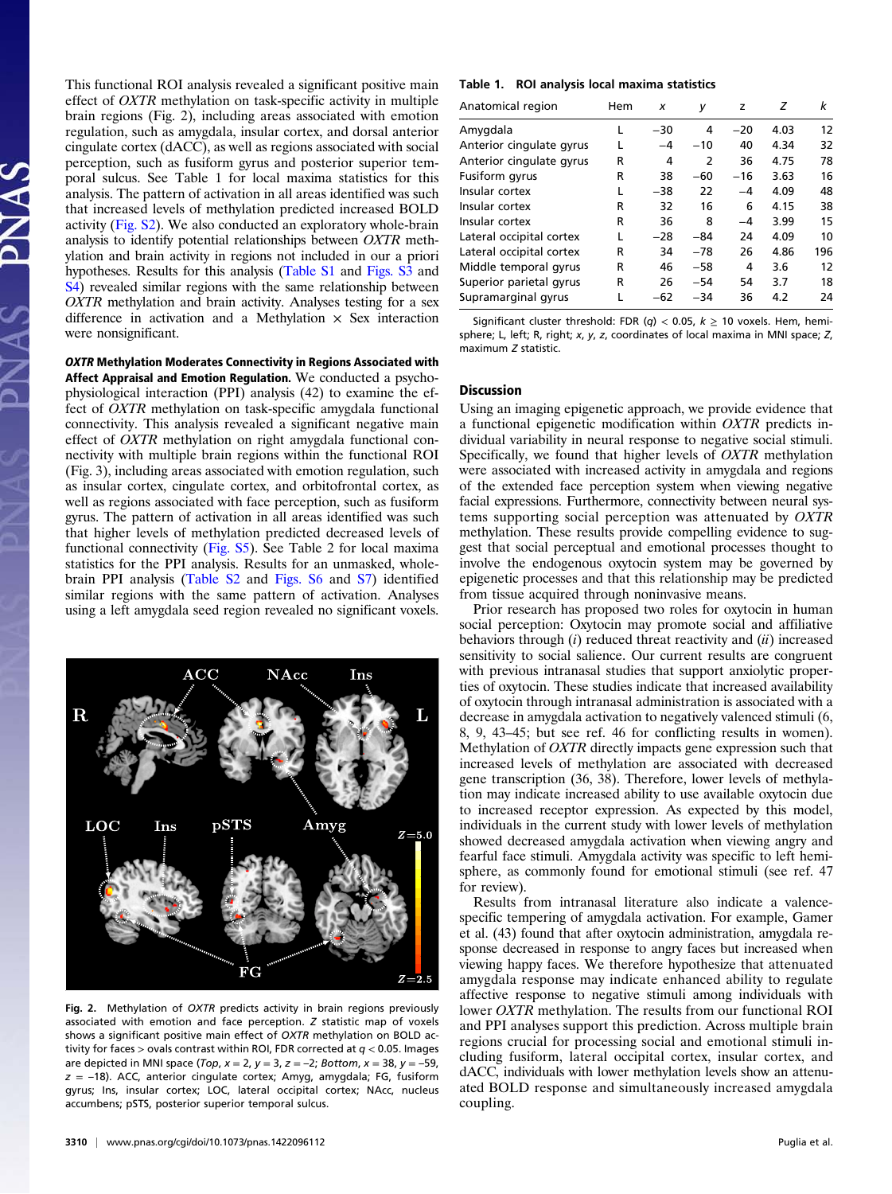This functional ROI analysis revealed a significant positive main effect of OXTR methylation on task-specific activity in multiple brain regions (Fig. 2), including areas associated with emotion regulation, such as amygdala, insular cortex, and dorsal anterior cingulate cortex (dACC), as well as regions associated with social perception, such as fusiform gyrus and posterior superior temporal sulcus. See Table 1 for local maxima statistics for this analysis. The pattern of activation in all areas identified was such that increased levels of methylation predicted increased BOLD activity ([Fig. S2\)](http://www.pnas.org/lookup/suppl/doi:10.1073/pnas.1422096112/-/DCSupplemental/pnas.201422096SI.pdf?targetid=nameddest=SF2). We also conducted an exploratory whole-brain analysis to identify potential relationships between OXTR methylation and brain activity in regions not included in our a priori hypotheses. Results for this analysis [\(Table S1](http://www.pnas.org/lookup/suppl/doi:10.1073/pnas.1422096112/-/DCSupplemental/pnas.201422096SI.pdf?targetid=nameddest=ST1) and [Figs. S3](http://www.pnas.org/lookup/suppl/doi:10.1073/pnas.1422096112/-/DCSupplemental/pnas.201422096SI.pdf?targetid=nameddest=SF3) and [S4\)](http://www.pnas.org/lookup/suppl/doi:10.1073/pnas.1422096112/-/DCSupplemental/pnas.201422096SI.pdf?targetid=nameddest=SF4) revealed similar regions with the same relationship between OXTR methylation and brain activity. Analyses testing for a sex difference in activation and a Methylation  $\times$  Sex interaction were nonsignificant.

OXTR Methylation Moderates Connectivity in Regions Associated with Affect Appraisal and Emotion Regulation. We conducted a psychophysiological interaction (PPI) analysis (42) to examine the effect of OXTR methylation on task-specific amygdala functional connectivity. This analysis revealed a significant negative main effect of *OXTR* methylation on right amygdala functional connectivity with multiple brain regions within the functional ROI (Fig. 3), including areas associated with emotion regulation, such as insular cortex, cingulate cortex, and orbitofrontal cortex, as well as regions associated with face perception, such as fusiform gyrus. The pattern of activation in all areas identified was such that higher levels of methylation predicted decreased levels of functional connectivity ([Fig. S5\)](http://www.pnas.org/lookup/suppl/doi:10.1073/pnas.1422096112/-/DCSupplemental/pnas.201422096SI.pdf?targetid=nameddest=SF5). See Table 2 for local maxima statistics for the PPI analysis. Results for an unmasked, wholebrain PPI analysis [\(Table S2](http://www.pnas.org/lookup/suppl/doi:10.1073/pnas.1422096112/-/DCSupplemental/pnas.201422096SI.pdf?targetid=nameddest=ST2) and [Figs. S6](http://www.pnas.org/lookup/suppl/doi:10.1073/pnas.1422096112/-/DCSupplemental/pnas.201422096SI.pdf?targetid=nameddest=SF6) and [S7\)](http://www.pnas.org/lookup/suppl/doi:10.1073/pnas.1422096112/-/DCSupplemental/pnas.201422096SI.pdf?targetid=nameddest=SF7) identified similar regions with the same pattern of activation. Analyses using a left amygdala seed region revealed no significant voxels.



Fig. 2. Methylation of OXTR predicts activity in brain regions previously associated with emotion and face perception. Z statistic map of voxels shows a significant positive main effect of OXTR methylation on BOLD activity for faces > ovals contrast within ROI, FDR corrected at  $q < 0.05$ . Images are depicted in MNI space (Top,  $x = 2$ ,  $y = 3$ ,  $z = -2$ ; Bottom,  $x = 38$ ,  $y = -59$ ,  $z = -18$ ). ACC, anterior cingulate cortex; Amyg, amygdala; FG, fusiform gyrus; Ins, insular cortex; LOC, lateral occipital cortex; NAcc, nucleus accumbens; pSTS, posterior superior temporal sulcus.

#### Table 1. ROI analysis local maxima statistics

| Anatomical region        | Hem | x     | v     | z     | z    | k   |
|--------------------------|-----|-------|-------|-------|------|-----|
| Amygdala                 | L   | $-30$ | 4     | $-20$ | 4.03 | 12  |
| Anterior cingulate gyrus | L   | -4    | $-10$ | 40    | 4.34 | 32  |
| Anterior cingulate gyrus | R   | 4     | 2     | 36    | 4.75 | 78  |
| Fusiform gyrus           | R   | 38    | $-60$ | $-16$ | 3.63 | 16  |
| Insular cortex           | L   | $-38$ | 22    | $-4$  | 4.09 | 48  |
| Insular cortex           | R   | 32    | 16    | 6     | 4.15 | 38  |
| Insular cortex           | R   | 36    | 8     | -4    | 3.99 | 15  |
| Lateral occipital cortex | L   | $-28$ | $-84$ | 24    | 4.09 | 10  |
| Lateral occipital cortex | R   | 34    | $-78$ | 26    | 4.86 | 196 |
| Middle temporal gyrus    | R   | 46    | $-58$ | 4     | 3.6  | 12  |
| Superior parietal gyrus  | R   | 26    | $-54$ | 54    | 3.7  | 18  |
| Supramarginal gyrus      | L   | $-62$ | $-34$ | 36    | 4.2  | 24  |

Significant cluster threshold: FDR (q) < 0.05,  $k \ge 10$  voxels. Hem, hemisphere; L, left; R, right; x, y, z, coordinates of local maxima in MNI space; Z, maximum Z statistic.

# Discussion

Using an imaging epigenetic approach, we provide evidence that a functional epigenetic modification within OXTR predicts individual variability in neural response to negative social stimuli. Specifically, we found that higher levels of OXTR methylation were associated with increased activity in amygdala and regions of the extended face perception system when viewing negative facial expressions. Furthermore, connectivity between neural systems supporting social perception was attenuated by OXTR methylation. These results provide compelling evidence to suggest that social perceptual and emotional processes thought to involve the endogenous oxytocin system may be governed by epigenetic processes and that this relationship may be predicted from tissue acquired through noninvasive means.

Prior research has proposed two roles for oxytocin in human social perception: Oxytocin may promote social and affiliative behaviors through  $(i)$  reduced threat reactivity and  $(ii)$  increased sensitivity to social salience. Our current results are congruent with previous intranasal studies that support anxiolytic properties of oxytocin. These studies indicate that increased availability of oxytocin through intranasal administration is associated with a decrease in amygdala activation to negatively valenced stimuli (6, 8, 9, 43–45; but see ref. 46 for conflicting results in women). Methylation of OXTR directly impacts gene expression such that increased levels of methylation are associated with decreased gene transcription (36, 38). Therefore, lower levels of methylation may indicate increased ability to use available oxytocin due to increased receptor expression. As expected by this model, individuals in the current study with lower levels of methylation showed decreased amygdala activation when viewing angry and fearful face stimuli. Amygdala activity was specific to left hemisphere, as commonly found for emotional stimuli (see ref. 47 for review).

Results from intranasal literature also indicate a valencespecific tempering of amygdala activation. For example, Gamer et al. (43) found that after oxytocin administration, amygdala response decreased in response to angry faces but increased when viewing happy faces. We therefore hypothesize that attenuated amygdala response may indicate enhanced ability to regulate affective response to negative stimuli among individuals with lower OXTR methylation. The results from our functional ROI and PPI analyses support this prediction. Across multiple brain regions crucial for processing social and emotional stimuli including fusiform, lateral occipital cortex, insular cortex, and dACC, individuals with lower methylation levels show an attenuated BOLD response and simultaneously increased amygdala coupling.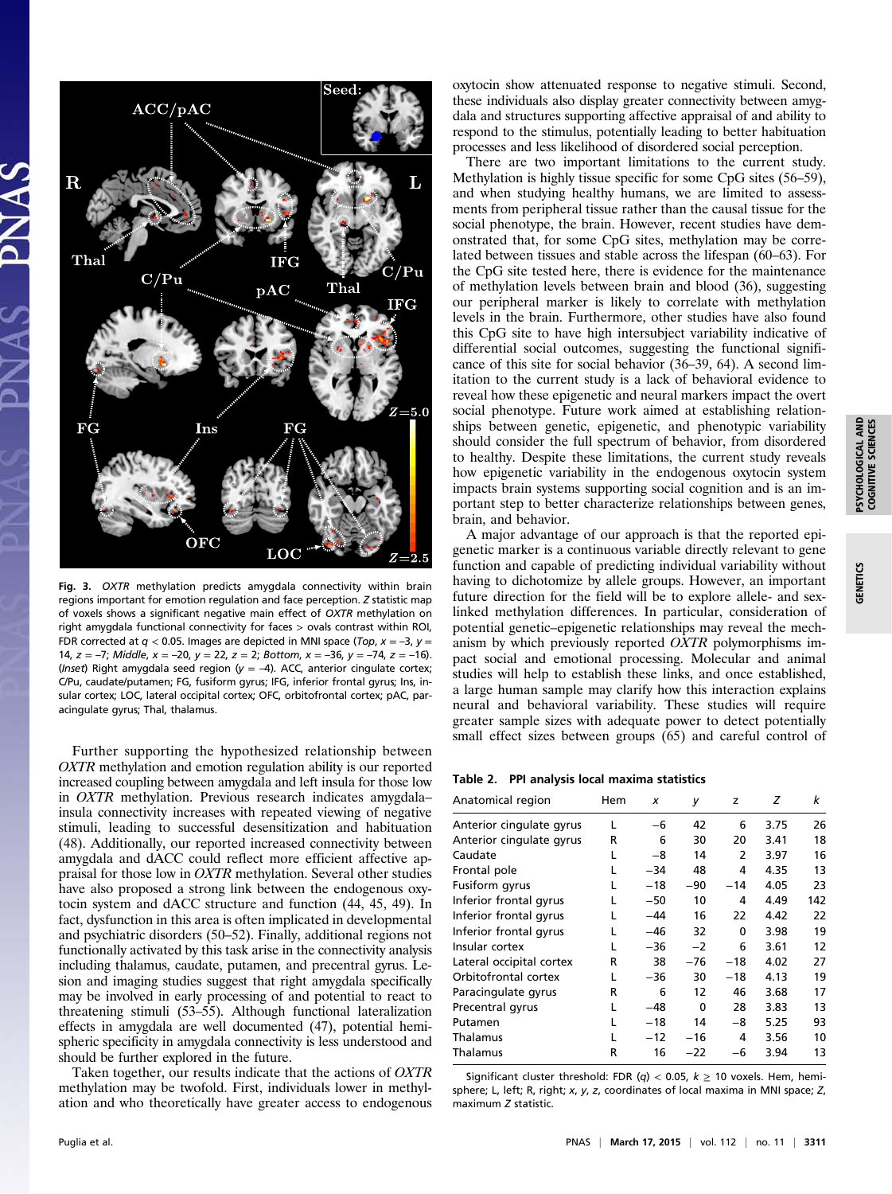

Fig. 3. OXTR methylation predicts amygdala connectivity within brain regions important for emotion regulation and face perception. Z statistic map of voxels shows a significant negative main effect of OXTR methylation on right amygdala functional connectivity for faces > ovals contrast within ROI, FDR corrected at  $q < 0.05$ . Images are depicted in MNI space (Top,  $x = -3$ ,  $y =$ 14,  $z = -7$ ; Middle,  $x = -20$ ,  $y = 22$ ,  $z = 2$ ; Bottom,  $x = -36$ ,  $y = -74$ ,  $z = -16$ ). (*Inset*) Right amygdala seed region ( $y = -4$ ). ACC, anterior cingulate cortex; C/Pu, caudate/putamen; FG, fusiform gyrus; IFG, inferior frontal gyrus; Ins, insular cortex; LOC, lateral occipital cortex; OFC, orbitofrontal cortex; pAC, paracingulate gyrus; Thal, thalamus.

Further supporting the hypothesized relationship between OXTR methylation and emotion regulation ability is our reported increased coupling between amygdala and left insula for those low in OXTR methylation. Previous research indicates amygdala– insula connectivity increases with repeated viewing of negative stimuli, leading to successful desensitization and habituation (48). Additionally, our reported increased connectivity between amygdala and dACC could reflect more efficient affective appraisal for those low in OXTR methylation. Several other studies have also proposed a strong link between the endogenous oxytocin system and dACC structure and function (44, 45, 49). In fact, dysfunction in this area is often implicated in developmental and psychiatric disorders (50–52). Finally, additional regions not functionally activated by this task arise in the connectivity analysis including thalamus, caudate, putamen, and precentral gyrus. Lesion and imaging studies suggest that right amygdala specifically may be involved in early processing of and potential to react to threatening stimuli (53–55). Although functional lateralization effects in amygdala are well documented (47), potential hemispheric specificity in amygdala connectivity is less understood and should be further explored in the future.

Taken together, our results indicate that the actions of OXTR methylation may be twofold. First, individuals lower in methylation and who theoretically have greater access to endogenous oxytocin show attenuated response to negative stimuli. Second, these individuals also display greater connectivity between amygdala and structures supporting affective appraisal of and ability to respond to the stimulus, potentially leading to better habituation processes and less likelihood of disordered social perception.

There are two important limitations to the current study. Methylation is highly tissue specific for some CpG sites (56–59), and when studying healthy humans, we are limited to assessments from peripheral tissue rather than the causal tissue for the social phenotype, the brain. However, recent studies have demonstrated that, for some CpG sites, methylation may be correlated between tissues and stable across the lifespan (60–63). For the CpG site tested here, there is evidence for the maintenance of methylation levels between brain and blood (36), suggesting our peripheral marker is likely to correlate with methylation levels in the brain. Furthermore, other studies have also found this CpG site to have high intersubject variability indicative of differential social outcomes, suggesting the functional significance of this site for social behavior (36–39, 64). A second limitation to the current study is a lack of behavioral evidence to reveal how these epigenetic and neural markers impact the overt social phenotype. Future work aimed at establishing relationships between genetic, epigenetic, and phenotypic variability should consider the full spectrum of behavior, from disordered to healthy. Despite these limitations, the current study reveals how epigenetic variability in the endogenous oxytocin system impacts brain systems supporting social cognition and is an important step to better characterize relationships between genes, brain, and behavior.

A major advantage of our approach is that the reported epigenetic marker is a continuous variable directly relevant to gene function and capable of predicting individual variability without having to dichotomize by allele groups. However, an important future direction for the field will be to explore allele- and sexlinked methylation differences. In particular, consideration of potential genetic–epigenetic relationships may reveal the mechanism by which previously reported OXTR polymorphisms impact social and emotional processing. Molecular and animal studies will help to establish these links, and once established, a large human sample may clarify how this interaction explains neural and behavioral variability. These studies will require greater sample sizes with adequate power to detect potentially small effect sizes between groups (65) and careful control of

#### Table 2. PPI analysis local maxima statistics

| Anatomical region        | Hem | X     | v     | z        | z    | k   |
|--------------------------|-----|-------|-------|----------|------|-----|
| Anterior cingulate gyrus | L   | -6    | 42    | 6        | 3.75 | 26  |
| Anterior cingulate gyrus | R   | 6     | 30    | 20       | 3.41 | 18  |
| Caudate                  | L   | -8    | 14    | 2        | 3.97 | 16  |
| Frontal pole             | L   | $-34$ | 48    | 4        | 4.35 | 13  |
| Fusiform gyrus           | L   | $-18$ | $-90$ | $-14$    | 4.05 | 23  |
| Inferior frontal gyrus   |     | $-50$ | 10    | 4        | 4.49 | 142 |
| Inferior frontal gyrus   | L   | $-44$ | 16    | 22       | 4.42 | 22  |
| Inferior frontal gyrus   | L   | $-46$ | 32    | $\Omega$ | 3.98 | 19  |
| Insular cortex           | L   | $-36$ | $-2$  | 6        | 3.61 | 12  |
| Lateral occipital cortex | R   | 38    | $-76$ | $-18$    | 4.02 | 27  |
| Orbitofrontal cortex     |     | $-36$ | 30    | $-18$    | 4.13 | 19  |
| Paracingulate gyrus      | R   | 6     | 12    | 46       | 3.68 | 17  |
| Precentral gyrus         | L   | -48   | 0     | 28       | 3.83 | 13  |
| Putamen                  | L   | $-18$ | 14    | -8       | 5.25 | 93  |
| Thalamus                 | L   | $-12$ | $-16$ | 4        | 3.56 | 10  |
| Thalamus                 | R   | 16    | $-22$ | -6       | 3.94 | 13  |

Significant cluster threshold: FDR (q) < 0.05,  $k \ge 10$  voxels. Hem, hemisphere; L, left; R, right; x, y, z, coordinates of local maxima in MNI space; Z, maximum Z statistic.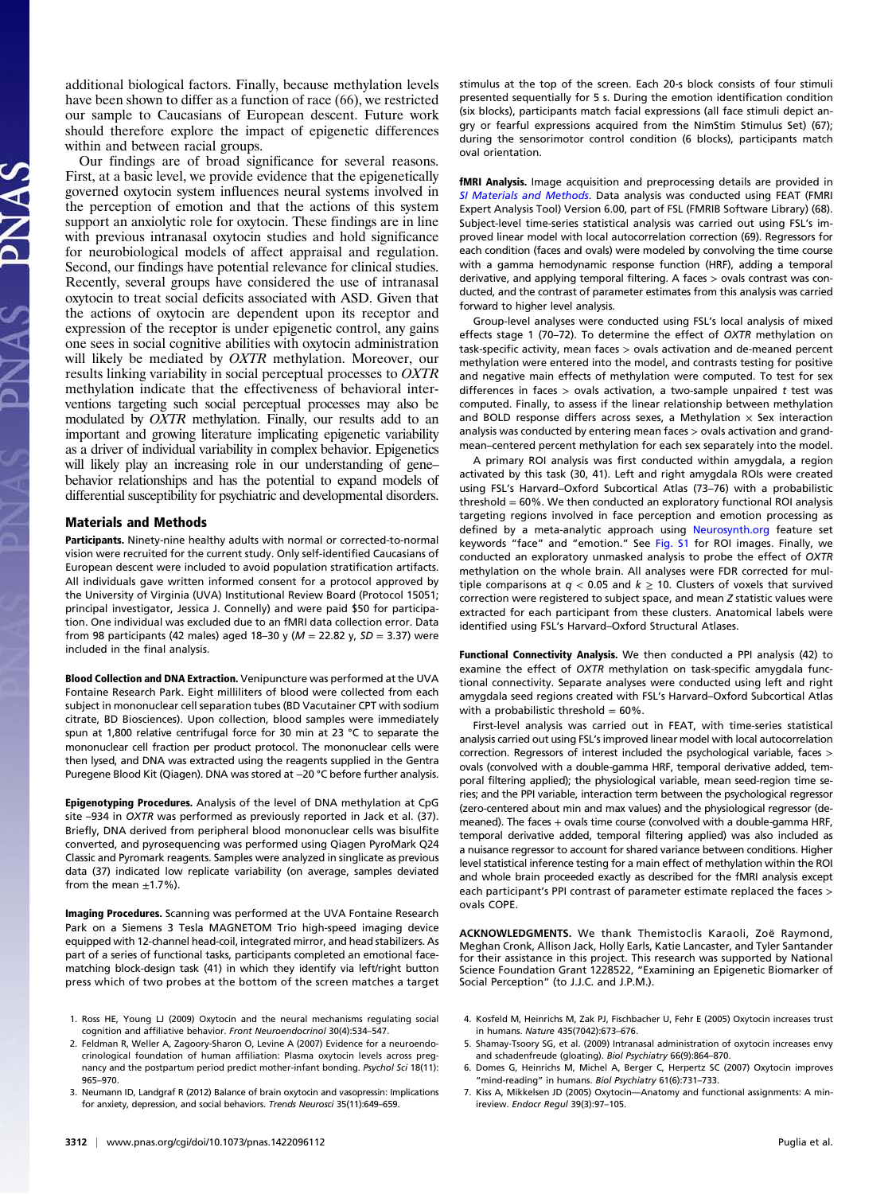additional biological factors. Finally, because methylation levels have been shown to differ as a function of race (66), we restricted our sample to Caucasians of European descent. Future work should therefore explore the impact of epigenetic differences within and between racial groups.

Our findings are of broad significance for several reasons. First, at a basic level, we provide evidence that the epigenetically governed oxytocin system influences neural systems involved in the perception of emotion and that the actions of this system support an anxiolytic role for oxytocin. These findings are in line with previous intranasal oxytocin studies and hold significance for neurobiological models of affect appraisal and regulation. Second, our findings have potential relevance for clinical studies. Recently, several groups have considered the use of intranasal oxytocin to treat social deficits associated with ASD. Given that the actions of oxytocin are dependent upon its receptor and expression of the receptor is under epigenetic control, any gains one sees in social cognitive abilities with oxytocin administration will likely be mediated by OXTR methylation. Moreover, our results linking variability in social perceptual processes to OXTR methylation indicate that the effectiveness of behavioral interventions targeting such social perceptual processes may also be modulated by OXTR methylation. Finally, our results add to an important and growing literature implicating epigenetic variability as a driver of individual variability in complex behavior. Epigenetics will likely play an increasing role in our understanding of gene– behavior relationships and has the potential to expand models of differential susceptibility for psychiatric and developmental disorders.

## Materials and Methods

Participants. Ninety-nine healthy adults with normal or corrected-to-normal vision were recruited for the current study. Only self-identified Caucasians of European descent were included to avoid population stratification artifacts. All individuals gave written informed consent for a protocol approved by the University of Virginia (UVA) Institutional Review Board (Protocol 15051; principal investigator, Jessica J. Connelly) and were paid \$50 for participation. One individual was excluded due to an fMRI data collection error. Data from 98 participants (42 males) aged 18-30 y ( $M = 22.82$  y,  $SD = 3.37$ ) were included in the final analysis.

Blood Collection and DNA Extraction. Venipuncture was performed at the UVA Fontaine Research Park. Eight milliliters of blood were collected from each subject in mononuclear cell separation tubes (BD Vacutainer CPT with sodium citrate, BD Biosciences). Upon collection, blood samples were immediately spun at 1,800 relative centrifugal force for 30 min at 23 °C to separate the mononuclear cell fraction per product protocol. The mononuclear cells were then lysed, and DNA was extracted using the reagents supplied in the Gentra Puregene Blood Kit (Qiagen). DNA was stored at -20 °C before further analysis.

Epigenotyping Procedures. Analysis of the level of DNA methylation at CpG site –934 in OXTR was performed as previously reported in Jack et al. (37). Briefly, DNA derived from peripheral blood mononuclear cells was bisulfite converted, and pyrosequencing was performed using Qiagen PyroMark Q24 Classic and Pyromark reagents. Samples were analyzed in singlicate as previous data (37) indicated low replicate variability (on average, samples deviated from the mean  $\pm$ 1.7%).

Imaging Procedures. Scanning was performed at the UVA Fontaine Research Park on a Siemens 3 Tesla MAGNETOM Trio high-speed imaging device equipped with 12-channel head-coil, integrated mirror, and head stabilizers. As part of a series of functional tasks, participants completed an emotional facematching block-design task (41) in which they identify via left/right button press which of two probes at the bottom of the screen matches a target

- 1. Ross HE, Young LJ (2009) Oxytocin and the neural mechanisms regulating social cognition and affiliative behavior. Front Neuroendocrinol 30(4):534–547.
- 2. Feldman R, Weller A, Zagoory-Sharon O, Levine A (2007) Evidence for a neuroendocrinological foundation of human affiliation: Plasma oxytocin levels across pregnancy and the postpartum period predict mother-infant bonding. Psychol Sci 18(11): 965–970.
- 3. Neumann ID, Landgraf R (2012) Balance of brain oxytocin and vasopressin: Implications for anxiety, depression, and social behaviors. Trends Neurosci 35(11):649–659.

stimulus at the top of the screen. Each 20-s block consists of four stimuli presented sequentially for 5 s. During the emotion identification condition (six blocks), participants match facial expressions (all face stimuli depict angry or fearful expressions acquired from the NimStim Stimulus Set) (67); during the sensorimotor control condition (6 blocks), participants match oval orientation.

fMRI Analysis. Image acquisition and preprocessing details are provided in [SI Materials and Methods](http://www.pnas.org/lookup/suppl/doi:10.1073/pnas.1422096112/-/DCSupplemental/pnas.201422096SI.pdf?targetid=nameddest=STXT). Data analysis was conducted using FEAT (FMRI Expert Analysis Tool) Version 6.00, part of FSL (FMRIB Software Library) (68). Subject-level time-series statistical analysis was carried out using FSL's improved linear model with local autocorrelation correction (69). Regressors for each condition (faces and ovals) were modeled by convolving the time course with a gamma hemodynamic response function (HRF), adding a temporal derivative, and applying temporal filtering. A faces > ovals contrast was conducted, and the contrast of parameter estimates from this analysis was carried forward to higher level analysis.

Group-level analyses were conducted using FSL's local analysis of mixed effects stage 1 (70–72). To determine the effect of OXTR methylation on task-specific activity, mean faces > ovals activation and de-meaned percent methylation were entered into the model, and contrasts testing for positive and negative main effects of methylation were computed. To test for sex differences in faces  $>$  ovals activation, a two-sample unpaired t test was computed. Finally, to assess if the linear relationship between methylation and BOLD response differs across sexes, a Methylation  $\times$  Sex interaction analysis was conducted by entering mean faces > ovals activation and grandmean–centered percent methylation for each sex separately into the model.

A primary ROI analysis was first conducted within amygdala, a region activated by this task (30, 41). Left and right amygdala ROIs were created using FSL's Harvard–Oxford Subcortical Atlas (73–76) with a probabilistic threshold  $= 60\%$ . We then conducted an exploratory functional ROI analysis targeting regions involved in face perception and emotion processing as defined by a meta-analytic approach using [Neurosynth.org](http://Neurosynth.org) feature set keywords "face" and "emotion." See [Fig. S1](http://www.pnas.org/lookup/suppl/doi:10.1073/pnas.1422096112/-/DCSupplemental/pnas.201422096SI.pdf?targetid=nameddest=SF1) for ROI images. Finally, we conducted an exploratory unmasked analysis to probe the effect of OXTR methylation on the whole brain. All analyses were FDR corrected for multiple comparisons at  $q < 0.05$  and  $k \ge 10$ . Clusters of voxels that survived correction were registered to subject space, and mean Z statistic values were extracted for each participant from these clusters. Anatomical labels were identified using FSL's Harvard–Oxford Structural Atlases.

Functional Connectivity Analysis. We then conducted a PPI analysis (42) to examine the effect of OXTR methylation on task-specific amygdala functional connectivity. Separate analyses were conducted using left and right amygdala seed regions created with FSL's Harvard–Oxford Subcortical Atlas with a probabilistic threshold  $= 60\%$ .

First-level analysis was carried out in FEAT, with time-series statistical analysis carried out using FSL's improved linear model with local autocorrelation correction. Regressors of interest included the psychological variable, faces > ovals (convolved with a double-gamma HRF, temporal derivative added, temporal filtering applied); the physiological variable, mean seed-region time series; and the PPI variable, interaction term between the psychological regressor (zero-centered about min and max values) and the physiological regressor (demeaned). The faces + ovals time course (convolved with a double-gamma HRF, temporal derivative added, temporal filtering applied) was also included as a nuisance regressor to account for shared variance between conditions. Higher level statistical inference testing for a main effect of methylation within the ROI and whole brain proceeded exactly as described for the fMRI analysis except each participant's PPI contrast of parameter estimate replaced the faces > ovals COPE.

ACKNOWLEDGMENTS. We thank Themistoclis Karaoli, Zoë Raymond, Meghan Cronk, Allison Jack, Holly Earls, Katie Lancaster, and Tyler Santander for their assistance in this project. This research was supported by National Science Foundation Grant 1228522, "Examining an Epigenetic Biomarker of Social Perception" (to J.J.C. and J.P.M.).

- 4. Kosfeld M, Heinrichs M, Zak PJ, Fischbacher U, Fehr E (2005) Oxytocin increases trust in humans. Nature 435(7042):673–676.
- 5. Shamay-Tsoory SG, et al. (2009) Intranasal administration of oxytocin increases envy and schadenfreude (gloating). Biol Psychiatry 66(9):864–870.
- 6. Domes G, Heinrichs M, Michel A, Berger C, Herpertz SC (2007) Oxytocin improves "mind-reading" in humans. Biol Psychiatry 61(6):731–733.
- 7. Kiss A, Mikkelsen JD (2005) Oxytocin—Anatomy and functional assignments: A minireview. Endocr Regul 39(3):97–105.